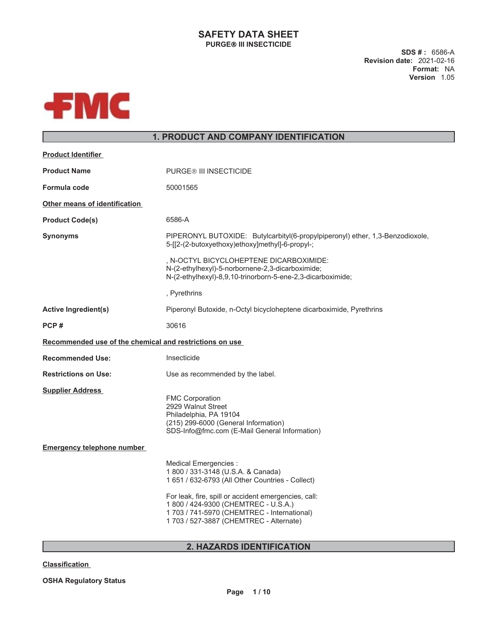# **SAFETY DATA SHEET PURGE III INSECTICIDE**

**SDS # :** 6586-A **Revision date:** 2021-02-16 **Format:** NA **Version** 1.05



# **1. PRODUCT AND COMPANY IDENTIFICATION**

| <b>Product Identifier</b>                               |                                                                                                                                                                                        |
|---------------------------------------------------------|----------------------------------------------------------------------------------------------------------------------------------------------------------------------------------------|
| <b>Product Name</b>                                     | <b>PURGE® III INSECTICIDE</b>                                                                                                                                                          |
| Formula code                                            | 50001565                                                                                                                                                                               |
| Other means of identification                           |                                                                                                                                                                                        |
| <b>Product Code(s)</b>                                  | 6586-A                                                                                                                                                                                 |
| <b>Synonyms</b>                                         | PIPERONYL BUTOXIDE: Butylcarbityl(6-propylpiperonyl) ether, 1,3-Benzodioxole,<br>5-[[2-(2-butoxyethoxy)ethoxy]methyl]-6-propyl-;                                                       |
|                                                         | , N-OCTYL BICYCLOHEPTENE DICARBOXIMIDE:<br>N-(2-ethylhexyl)-5-norbornene-2,3-dicarboximide;<br>N-(2-ethylhexyl)-8,9,10-trinorborn-5-ene-2,3-dicarboximide;                             |
|                                                         | , Pyrethrins                                                                                                                                                                           |
| <b>Active Ingredient(s)</b>                             | Piperonyl Butoxide, n-Octyl bicycloheptene dicarboximide, Pyrethrins                                                                                                                   |
| PCP#                                                    | 30616                                                                                                                                                                                  |
| Recommended use of the chemical and restrictions on use |                                                                                                                                                                                        |
| <b>Recommended Use:</b>                                 | Insecticide                                                                                                                                                                            |
| <b>Restrictions on Use:</b>                             | Use as recommended by the label.                                                                                                                                                       |
| <b>Supplier Address</b>                                 | <b>FMC Corporation</b><br>2929 Walnut Street<br>Philadelphia, PA 19104<br>(215) 299-6000 (General Information)<br>SDS-Info@fmc.com (E-Mail General Information)                        |
| <b>Emergency telephone number</b>                       |                                                                                                                                                                                        |
|                                                         | Medical Emergencies :<br>1 800 / 331-3148 (U.S.A. & Canada)<br>1 651 / 632-6793 (All Other Countries - Collect)                                                                        |
|                                                         | For leak, fire, spill or accident emergencies, call:<br>1 800 / 424-9300 (CHEMTREC - U.S.A.)<br>1 703 / 741-5970 (CHEMTREC - International)<br>1 703 / 527-3887 (CHEMTREC - Alternate) |

# **2. HAZARDS IDENTIFICATION**

# **Classification**

**OSHA Regulatory Status**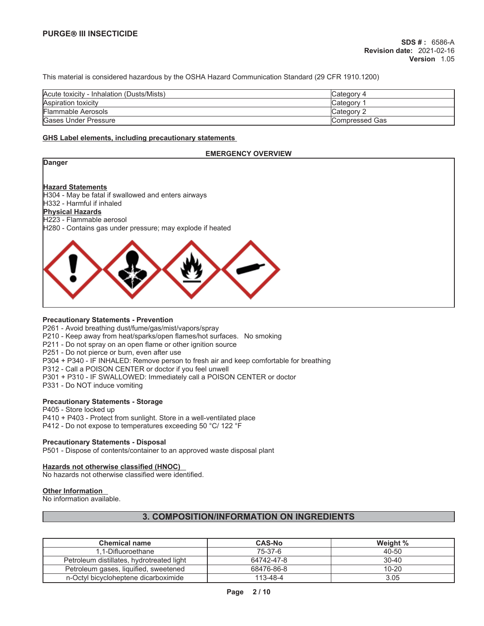This material is considered hazardous by the OSHA Hazard Communication Standard (29 CFR 1910.1200)

| Acute toxicity - Inhalation (Dusts/Mists) | Category 4            |
|-------------------------------------------|-----------------------|
| Aspiration toxicity                       | <b>Category</b>       |
| Flammable Aerosols                        | Category 2            |
| <b>Gases Under Pressure</b>               | <b>Compressed Gas</b> |

### **GHS Label elements, including precautionary statements**

### **EMERGENCY OVERVIEW**

| Danger                                                    |
|-----------------------------------------------------------|
|                                                           |
| <b>Hazard Statements</b>                                  |
| H304 - May be fatal if swallowed and enters airways       |
| H332 - Harmful if inhaled                                 |
| <b>Physical Hazards</b>                                   |
| H <sub>223</sub> - Flammable aerosol                      |
| H280 - Contains gas under pressure; may explode if heated |
|                                                           |
|                                                           |

# **Precautionary Statements - Prevention**

P261 - Avoid breathing dust/fume/gas/mist/vapors/spray

P210 - Keep away from heat/sparks/open flames/hot surfaces. No smoking

P211 - Do not spray on an open flame or other ignition source

P251 - Do not pierce or burn, even after use

P304 + P340 - IF INHALED: Remove person to fresh air and keep comfortable for breathing

P312 - Call a POISON CENTER or doctor if you feel unwell

- P301 + P310 IF SWALLOWED: Immediately call a POISON CENTER or doctor
- P331 Do NOT induce vomiting

### **Precautionary Statements - Storage**

P405 - Store locked up P410 + P403 - Protect from sunlight. Store in a well-ventilated place P412 - Do not expose to temperatures exceeding 50 °C/ 122 °F

### **Precautionary Statements - Disposal**

P501 - Dispose of contents/container to an approved waste disposal plant

### **Hazards not otherwise classified (HNOC)**

No hazards not otherwise classified were identified.

# **Other Information**

No information available.

# **3. COMPOSITION/INFORMATION ON INGREDIENTS**

| <b>Chemical name</b>                      | <b>CAS-No</b> | Weight %  |
|-------------------------------------------|---------------|-----------|
| 1.1-Difluoroethane                        | 75-37-6       | 40-50     |
| Petroleum distillates, hydrotreated light | 64742-47-8    | $30 - 40$ |
| Petroleum gases, liquified, sweetened     | 68476-86-8    | $10 - 20$ |
| n-Octyl bicycloheptene dicarboximide      | 113-48-4      | 3.05      |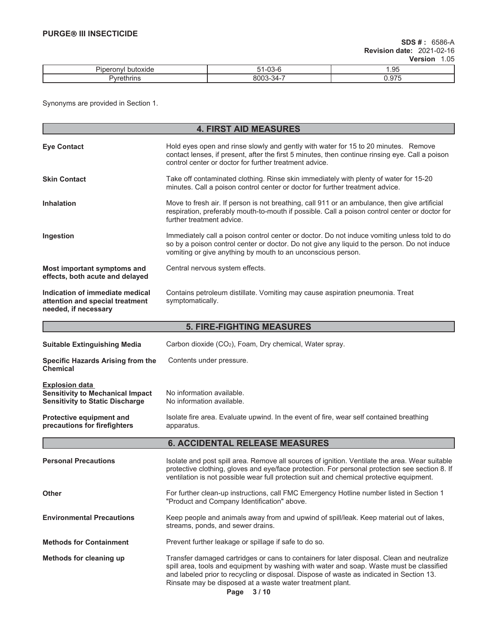| ш. |    | . .<br>$\cdot$ . |
|----|----|------------------|
|    | `` | .                |

Synonyms are provided in Section 1.

| <b>4. FIRST AID MEASURES</b>                                                                               |                                                                                                                                                                                                                                                                                                                                                 |  |  |
|------------------------------------------------------------------------------------------------------------|-------------------------------------------------------------------------------------------------------------------------------------------------------------------------------------------------------------------------------------------------------------------------------------------------------------------------------------------------|--|--|
| <b>Eye Contact</b>                                                                                         | Hold eyes open and rinse slowly and gently with water for 15 to 20 minutes. Remove<br>contact lenses, if present, after the first 5 minutes, then continue rinsing eye. Call a poison<br>control center or doctor for further treatment advice.                                                                                                 |  |  |
| <b>Skin Contact</b>                                                                                        | Take off contaminated clothing. Rinse skin immediately with plenty of water for 15-20<br>minutes. Call a poison control center or doctor for further treatment advice.                                                                                                                                                                          |  |  |
| <b>Inhalation</b>                                                                                          | Move to fresh air. If person is not breathing, call 911 or an ambulance, then give artificial<br>respiration, preferably mouth-to-mouth if possible. Call a poison control center or doctor for<br>further treatment advice.                                                                                                                    |  |  |
| Ingestion                                                                                                  | Immediately call a poison control center or doctor. Do not induce vomiting unless told to do<br>so by a poison control center or doctor. Do not give any liquid to the person. Do not induce<br>vomiting or give anything by mouth to an unconscious person.                                                                                    |  |  |
| Most important symptoms and<br>effects, both acute and delayed                                             | Central nervous system effects.                                                                                                                                                                                                                                                                                                                 |  |  |
| Indication of immediate medical<br>attention and special treatment<br>needed, if necessary                 | Contains petroleum distillate. Vomiting may cause aspiration pneumonia. Treat<br>symptomatically.                                                                                                                                                                                                                                               |  |  |
|                                                                                                            | <b>5. FIRE-FIGHTING MEASURES</b>                                                                                                                                                                                                                                                                                                                |  |  |
| <b>Suitable Extinguishing Media</b>                                                                        | Carbon dioxide (CO <sub>2</sub> ), Foam, Dry chemical, Water spray.                                                                                                                                                                                                                                                                             |  |  |
| <b>Specific Hazards Arising from the</b><br><b>Chemical</b>                                                | Contents under pressure.                                                                                                                                                                                                                                                                                                                        |  |  |
| <b>Explosion data</b><br><b>Sensitivity to Mechanical Impact</b><br><b>Sensitivity to Static Discharge</b> | No information available.<br>No information available.                                                                                                                                                                                                                                                                                          |  |  |
| Protective equipment and<br>precautions for firefighters                                                   | Isolate fire area. Evaluate upwind. In the event of fire, wear self contained breathing<br>apparatus.                                                                                                                                                                                                                                           |  |  |
|                                                                                                            | <b>6. ACCIDENTAL RELEASE MEASURES</b>                                                                                                                                                                                                                                                                                                           |  |  |
| <b>Personal Precautions</b>                                                                                | Isolate and post spill area. Remove all sources of ignition. Ventilate the area. Wear suitable<br>protective clothing, gloves and eye/face protection. For personal protection see section 8. If<br>ventilation is not possible wear full protection suit and chemical protective equipment.                                                    |  |  |
| <b>Other</b>                                                                                               | For further clean-up instructions, call FMC Emergency Hotline number listed in Section 1<br>"Product and Company Identification" above.                                                                                                                                                                                                         |  |  |
| <b>Environmental Precautions</b>                                                                           | Keep people and animals away from and upwind of spill/leak. Keep material out of lakes,<br>streams, ponds, and sewer drains.                                                                                                                                                                                                                    |  |  |
| <b>Methods for Containment</b>                                                                             | Prevent further leakage or spillage if safe to do so.                                                                                                                                                                                                                                                                                           |  |  |
| Methods for cleaning up                                                                                    | Transfer damaged cartridges or cans to containers for later disposal. Clean and neutralize<br>spill area, tools and equipment by washing with water and soap. Waste must be classified<br>and labeled prior to recycling or disposal. Dispose of waste as indicated in Section 13.<br>Rinsate may be disposed at a waste water treatment plant. |  |  |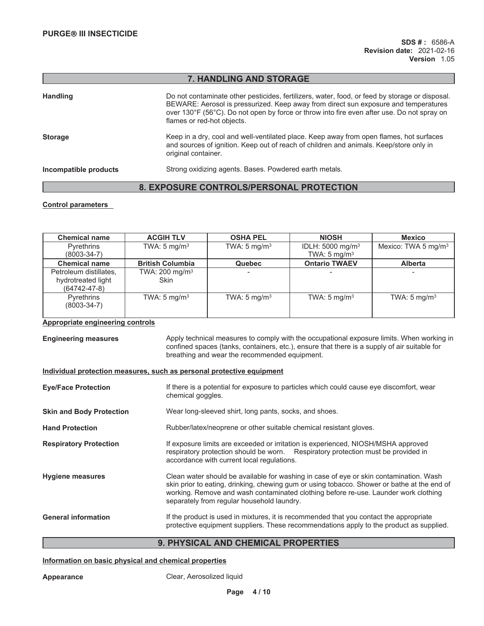# **7. HANDLING AND STORAGE**

| <b>Handling</b>       | Do not contaminate other pesticides, fertilizers, water, food, or feed by storage or disposal.<br>BEWARE: Aerosol is pressurized. Keep away from direct sun exposure and temperatures<br>over 130°F (56°C). Do not open by force or throw into fire even after use. Do not spray on<br>flames or red-hot objects. |
|-----------------------|-------------------------------------------------------------------------------------------------------------------------------------------------------------------------------------------------------------------------------------------------------------------------------------------------------------------|
| <b>Storage</b>        | Keep in a dry, cool and well-ventilated place. Keep away from open flames, hot surfaces<br>and sources of ignition. Keep out of reach of children and animals. Keep/store only in<br>original container.                                                                                                          |
| Incompatible products | Strong oxidizing agents. Bases. Powdered earth metals.                                                                                                                                                                                                                                                            |

# **8. EXPOSURE CONTROLS/PERSONAL PROTECTION**

# **Control parameters**

| <b>Chemical name</b>                                               | <b>ACGIH TLV</b>                         | <b>OSHA PEL</b>         | <b>NIOSH</b>                   | <b>Mexico</b>           |
|--------------------------------------------------------------------|------------------------------------------|-------------------------|--------------------------------|-------------------------|
| <b>Pyrethrins</b>                                                  | TWA: $5 \text{ mg/m}^3$                  | TWA: $5 \text{ mg/m}^3$ | IDLH: $5000$ mg/m <sup>3</sup> | Mexico: TWA 5 mg/m $3$  |
| (8003-34-7)                                                        |                                          |                         | TWA: $5 \text{ mg/m}^3$        |                         |
| <b>Chemical name</b>                                               | <b>British Columbia</b>                  | <b>Quebec</b>           | <b>Ontario TWAEV</b>           | <b>Alberta</b>          |
| Petroleum distillates,<br>hydrotreated light<br>$(64742 - 47 - 8)$ | TWA: $200 \text{ mg/m}^3$<br><b>Skin</b> |                         |                                |                         |
| <b>Pyrethrins</b><br>$(8003 - 34 - 7)$                             | TWA: $5 \text{ mg/m}^3$                  | TWA: $5 \text{ mg/m}^3$ | TWA: $5 \text{ mg/m}^3$        | TWA: $5 \text{ mg/m}^3$ |

### **Appropriate engineering controls**

**Engineering measures** Apply technical measures to comply with the occupational exposure limits. When working in confined spaces (tanks, containers, etc.), ensure that there is a supply of air suitable for breathing and wear the recommended equipment. **Individual protection measures, such as personal protective equipment Eye/Face Protection** If there is a potential for exposure to particles which could cause eye discomfort, wear chemical goggles. **Skin and Body Protection** Wear long-sleeved shirt, long pants, socks, and shoes. Hand Protection **Rubber/latex/neoprene or other suitable chemical resistant gloves. Respiratory Protection** If exposure limits are exceeded or irritation is experienced, NIOSH/MSHA approved respiratory protection should be worn. Respiratory protection must be provided in accordance with current local regulations. **Hygiene measures** Clean water should be available for washing in case of eye or skin contamination. Wash skin prior to eating, drinking, chewing gum or using tobacco. Shower or bathe at the end of working. Remove and wash contaminated clothing before re-use. Launder work clothing separately from regular household laundry. General information **If the product is used in mixtures**, it is recommended that you contact the appropriate protective equipment suppliers. These recommendations apply to the product as supplied.

# **9. PHYSICAL AND CHEMICAL PROPERTIES**

### **Information on basic physical and chemical properties**

Appearance **Clear, Aerosolized liquid**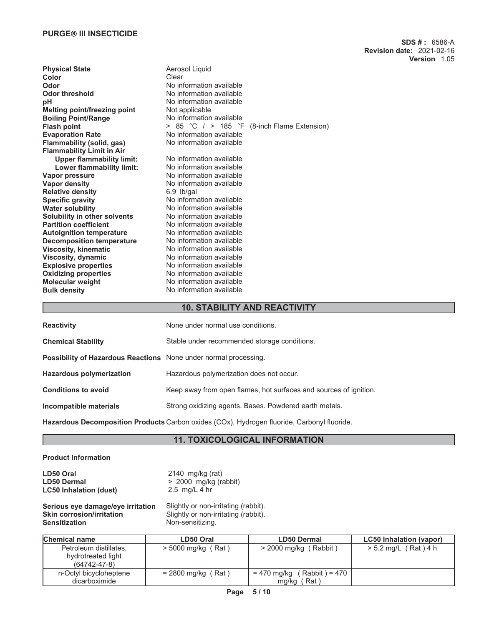| <b>Physical State</b><br>Aerosol Liquid                             |  |
|---------------------------------------------------------------------|--|
| Clear<br>Color                                                      |  |
| No information available<br>Odor                                    |  |
| No information available<br><b>Odor threshold</b>                   |  |
| No information available<br>pH                                      |  |
| Not applicable<br><b>Melting point/freezing point</b>               |  |
| No information available<br><b>Boiling Point/Range</b>              |  |
| > 85 °C $/$ > 185 °F (8-inch Flame Extension)<br><b>Flash point</b> |  |
| No information available<br><b>Evaporation Rate</b>                 |  |
| Flammability (solid, gas)<br>No information available               |  |
| <b>Flammability Limit in Air</b>                                    |  |
| No information available<br><b>Upper flammability limit:</b>        |  |
| No information available<br>Lower flammability limit:               |  |
| No information available<br>Vapor pressure                          |  |
| No information available<br>Vapor density                           |  |
| <b>Relative density</b><br>$6.9$ lb/gal                             |  |
| No information available<br><b>Specific gravity</b>                 |  |
| No information available<br><b>Water solubility</b>                 |  |
| Solubility in other solvents<br>No information available            |  |
| <b>Partition coefficient</b><br>No information available            |  |
| No information available<br><b>Autoignition temperature</b>         |  |
| No information available<br><b>Decomposition temperature</b>        |  |
| No information available<br><b>Viscosity, kinematic</b>             |  |
| No information available<br>Viscosity, dynamic                      |  |
| <b>Explosive properties</b><br>No information available             |  |
| No information available<br><b>Oxidizing properties</b>             |  |
| <b>Molecular weight</b><br>No information available                 |  |
| No information available<br><b>Bulk density</b>                     |  |

# **10. STABILITY AND REACTIVITY**

| <b>Reactivity</b>                                                       | None under normal use conditions.                                 |
|-------------------------------------------------------------------------|-------------------------------------------------------------------|
| <b>Chemical Stability</b>                                               | Stable under recommended storage conditions.                      |
| <b>Possibility of Hazardous Reactions</b> None under normal processing. |                                                                   |
| <b>Hazardous polymerization</b>                                         | Hazardous polymerization does not occur.                          |
| <b>Conditions to avoid</b>                                              | Keep away from open flames, hot surfaces and sources of ignition. |
| Incompatible materials                                                  | Strong oxidizing agents. Bases. Powdered earth metals.            |
|                                                                         |                                                                   |

**Hazardous Decomposition Products** Carbon oxides (COx), Hydrogen fluoride, Carbonyl fluoride.

# **11. TOXICOLOGICAL INFORMATION**

# **Product Information**

**LD50 Oral** 2140 mg/kg (rat) **LC50 Inhalation (dust)** 2.5 mg/L 4 hr

**LD50 Dermal** > 2000 mg/kg (rabbit)

# **Serious eye damage/eye irritation** Slightly or non-irritating (rabbit).<br>**Skin corrosion/irritation** Slightly or non-irritating (rabbit). **Skin corrosion/irritation** Slightly or non-irritating (rabbit).<br> **Sensitization** Mon-sensitizing.

Non-sensitizing.

| <b>Chemical name</b>                     | LD50 Oral            | <b>LD50 Dermal</b>              | <b>LC50 Inhalation (vapor)</b> |
|------------------------------------------|----------------------|---------------------------------|--------------------------------|
| Petroleum distillates.                   | $>$ 5000 mg/kg (Rat) | $>$ 2000 mg/kg (Rabbit)         | > 5.2 mg/L (Rat) 4 h           |
| hydrotreated light<br>$(64742 - 47 - 8)$ |                      |                                 |                                |
| n-Octyl bicycloheptene                   | $= 2800$ mg/kg (Rat) | = 470 mg/kg<br>( Rabbit ) = 470 |                                |
| dicarboximide                            |                      | mg/kg (Rat)                     |                                |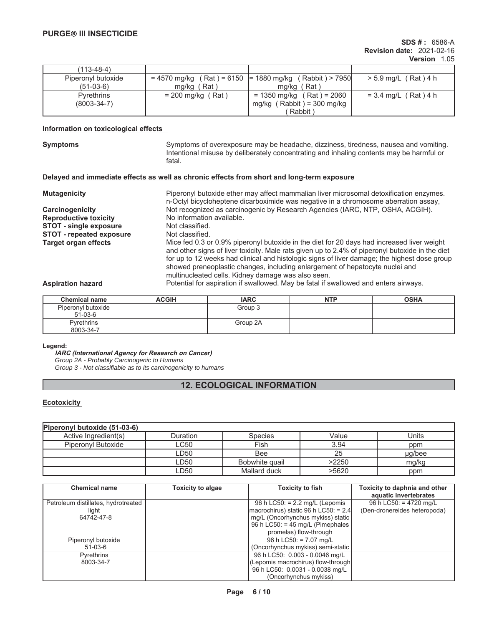| (113-48-4)         |                     |                                                          |                        |
|--------------------|---------------------|----------------------------------------------------------|------------------------|
| Piperonyl butoxide |                     | $= 4570$ mg/kg (Rat) = 6150 = 1880 mg/kg (Rabbit) > 7950 | > 5.9 mg/L (Rat) 4 h   |
| $(51-03-6)$        | Rat)<br>ma/ka       | ma/ka (Rat)                                              |                        |
| <b>Pyrethrins</b>  | $= 200$ mg/kg (Rat) | $= 1350$ mg/kg (Rat) = 2060                              | $= 3.4$ mg/L (Rat) 4 h |
| $(8003 - 34 - 7)$  |                     | mg/kg $($ Rabbit $) = 300$ mg/kg                         |                        |
|                    |                     | Rabbit)                                                  |                        |

# **Information on toxicological effects**

**Symptoms** Symptoms of overexposure may be headache, dizziness, tiredness, nausea and vomiting. Intentional misuse by deliberately concentrating and inhaling contents may be harmful or fatal.

## **Delayed and immediate effects as well as chronic effects from short and long-term exposure**

| <b>Mutagenicity</b>             | Piperonyl butoxide ether may affect mammalian liver microsomal detoxification enzymes.<br>n-Octyl bicycloheptene dicarboximide was negative in a chromosome aberration assay,                                                                                                                                                                                                                                                       |
|---------------------------------|-------------------------------------------------------------------------------------------------------------------------------------------------------------------------------------------------------------------------------------------------------------------------------------------------------------------------------------------------------------------------------------------------------------------------------------|
| Carcinogenicity                 | Not recognized as carcinogenic by Research Agencies (IARC, NTP, OSHA, ACGIH).                                                                                                                                                                                                                                                                                                                                                       |
| <b>Reproductive toxicity</b>    | No information available.                                                                                                                                                                                                                                                                                                                                                                                                           |
| <b>STOT - single exposure</b>   | Not classified.                                                                                                                                                                                                                                                                                                                                                                                                                     |
| <b>STOT - repeated exposure</b> | Not classified.                                                                                                                                                                                                                                                                                                                                                                                                                     |
| <b>Target organ effects</b>     | Mice fed 0.3 or 0.9% piperonyl butoxide in the diet for 20 days had increased liver weight<br>and other signs of liver toxicity. Male rats given up to 2.4% of piperonyl butoxide in the diet<br>for up to 12 weeks had clinical and histologic signs of liver damage; the highest dose group<br>showed preneoplastic changes, including enlargement of hepatocyte nuclei and<br>multinucleated cells. Kidney damage was also seen. |
| <b>Aspiration hazard</b>        | Potential for aspiration if swallowed. May be fatal if swallowed and enters airways.                                                                                                                                                                                                                                                                                                                                                |

| <b>Chemical name</b>            | <b>ACGIH</b> | <b>IARC</b> | <b>NTP</b> | <b>OSHA</b> |
|---------------------------------|--------------|-------------|------------|-------------|
| Piperonyl butoxide<br>$51-03-6$ |              | Group 3     |            |             |
| <b>Pyrethrins</b><br>8003-34-7  |              | Group 2A    |            |             |

### **Legend:**

**IARC (International Agency for Research on Cancer)** *Group 2A - Probably Carcinogenic to Humans Group 3 - Not classifiable as to its carcinogenicity to humans*

# **12. ECOLOGICAL INFORMATION**

# **Ecotoxicity**

| Piperonyl butoxide (51-03-6) |          |                |       |        |
|------------------------------|----------|----------------|-------|--------|
| Active Ingredient(s)         | Duration | <b>Species</b> | Value | Units  |
| Piperonyl Butoxide           | LC50     | Fish           | 3.94  | ppm    |
|                              | LD50     | Bee            | 25    | µg/bee |
|                              | LD50     | Bobwhite quail | >2250 | mg/kg  |
|                              | LD50     | Mallard duck   | >5620 | ppm    |

| <b>Chemical name</b>                         | <b>Toxicity to algae</b> | <b>Toxicity to fish</b>                                                     | Toxicity to daphnia and other<br>aquatic invertebrates   |
|----------------------------------------------|--------------------------|-----------------------------------------------------------------------------|----------------------------------------------------------|
| Petroleum distillates, hydrotreated<br>light |                          | 96 h LC50: $= 2.2$ mg/L (Lepomis<br>$ macrochirus $ static 96 h LC50: = 2.4 | 96 h LC50: $= 4720$ mg/L<br>(Den-dronereides heteropoda) |
| 64742-47-8                                   |                          | mg/L (Oncorhynchus mykiss) static<br>96 h LC50: = 45 mg/L (Pimephales       |                                                          |
|                                              |                          | promelas) flow-through                                                      |                                                          |
| Piperonyl butoxide                           |                          | 96 h LC50: = 7.07 mg/L                                                      |                                                          |
| 51-03-6                                      |                          | (Oncorhynchus mykiss) semi-static                                           |                                                          |
| Pyrethrins                                   |                          | 96 h LC50: 0.003 - 0.0046 mg/L                                              |                                                          |
| 8003-34-7                                    |                          | (Lepomis macrochirus) flow-through                                          |                                                          |
|                                              |                          | 96 h LC50: 0.0031 - 0.0038 mg/L                                             |                                                          |
|                                              |                          | (Oncorhynchus mykiss)                                                       |                                                          |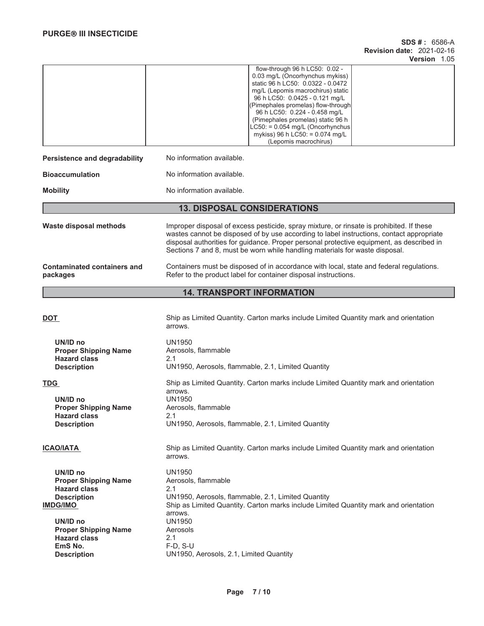## **SDS # :** 6586-A **Revision date:** 2021-02-16 **Version** 1.05

|                                                | flow-through 96 h LC50: 0.02 -<br>0.03 mg/L (Oncorhynchus mykiss)<br>static 96 h LC50: 0.0322 - 0.0472<br>mg/L (Lepomis macrochirus) static<br>96 h LC50: 0.0425 - 0.121 mg/L<br>(Pimephales promelas) flow-through<br>96 h LC50: 0.224 - 0.458 mg/L<br>(Pimephales promelas) static 96 h<br>$LC50: = 0.054$ mg/L (Oncorhynchus<br>mykiss) 96 h LC50: = 0.074 mg/L<br>(Lepomis macrochirus) |
|------------------------------------------------|---------------------------------------------------------------------------------------------------------------------------------------------------------------------------------------------------------------------------------------------------------------------------------------------------------------------------------------------------------------------------------------------|
| Persistence and degradability                  | No information available.                                                                                                                                                                                                                                                                                                                                                                   |
| <b>Bioaccumulation</b>                         | No information available.                                                                                                                                                                                                                                                                                                                                                                   |
| <b>Mobility</b>                                | No information available.                                                                                                                                                                                                                                                                                                                                                                   |
|                                                | <b>13. DISPOSAL CONSIDERATIONS</b>                                                                                                                                                                                                                                                                                                                                                          |
| Waste disposal methods                         | Improper disposal of excess pesticide, spray mixture, or rinsate is prohibited. If these<br>wastes cannot be disposed of by use according to label instructions, contact appropriate<br>disposal authorities for guidance. Proper personal protective equipment, as described in<br>Sections 7 and 8, must be worn while handling materials for waste disposal.                             |
| <b>Contaminated containers and</b><br>packages | Containers must be disposed of in accordance with local, state and federal regulations.<br>Refer to the product label for container disposal instructions.                                                                                                                                                                                                                                  |

# **14. TRANSPORT INFORMATION**

| DOT                                                                                                                                                                                  | Ship as Limited Quantity. Carton marks include Limited Quantity mark and orientation<br>arrows.                                                                                                                                          |
|--------------------------------------------------------------------------------------------------------------------------------------------------------------------------------------|------------------------------------------------------------------------------------------------------------------------------------------------------------------------------------------------------------------------------------------|
| UN/ID no<br><b>Proper Shipping Name</b><br><b>Hazard class</b><br><b>Description</b>                                                                                                 | UN1950<br>Aerosols, flammable<br>2.1<br>UN1950, Aerosols, flammable, 2.1, Limited Quantity                                                                                                                                               |
| <b>TDG</b><br>UN/ID no<br><b>Proper Shipping Name</b><br><b>Hazard class</b><br><b>Description</b>                                                                                   | Ship as Limited Quantity. Carton marks include Limited Quantity mark and orientation<br>arrows.<br><b>UN1950</b><br>Aerosols, flammable<br>2.1<br>UN1950, Aerosols, flammable, 2.1, Limited Quantity                                     |
| <b>ICAO/IATA</b>                                                                                                                                                                     | Ship as Limited Quantity. Carton marks include Limited Quantity mark and orientation<br>arrows.                                                                                                                                          |
| UN/ID no<br><b>Proper Shipping Name</b><br><b>Hazard class</b><br><b>Description</b><br><b>IMDG/IMO</b><br>UN/ID no<br><b>Proper Shipping Name</b><br><b>Hazard class</b><br>EmS No. | UN1950<br>Aerosols, flammable<br>2.1<br>UN1950, Aerosols, flammable, 2.1, Limited Quantity<br>Ship as Limited Quantity. Carton marks include Limited Quantity mark and orientation<br>arrows.<br>UN1950<br>Aerosols<br>2.1<br>$F-D. S-U$ |
| <b>Description</b>                                                                                                                                                                   | UN1950, Aerosols, 2.1, Limited Quantity                                                                                                                                                                                                  |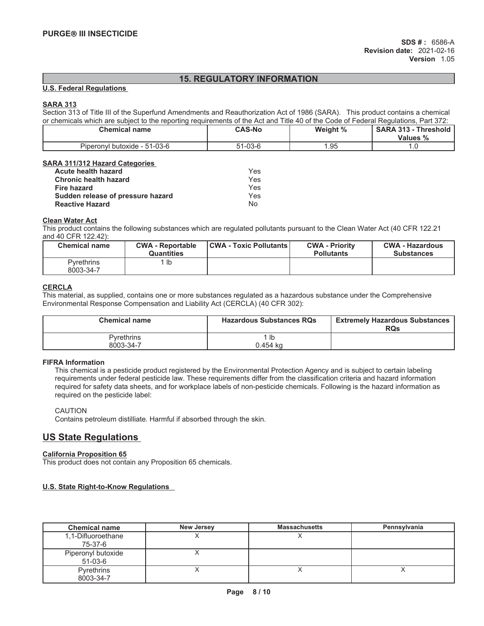# **15. REGULATORY INFORMATION**

### **U.S. Federal Regulations**

# **SARA 313**

Section 313 of Title III of the Superfund Amendments and Reauthorization Act of 1986 (SARA). This product contains a chemical or chemicals which are subject to the reporting requirements of the Act and Title 40 of the Code of Federal Regulations, Part 372:

| Chemical name                     | <b>CAS-No</b> | Weight % | <b>SARA 313</b><br><b>Threshold</b><br>$\overline{\phantom{a}}$<br>Values % |
|-----------------------------------|---------------|----------|-----------------------------------------------------------------------------|
| l butoxide - 51-03-6<br>Piperonvl | $1 - 03 - 6$  | .95      | $\cdot \cdot \cup$                                                          |

## **SARA 311/312 Hazard Categories**

| Acute health hazard               | Yes. |
|-----------------------------------|------|
| <b>Chronic health hazard</b>      | Yes. |
| Fire hazard                       | Yes. |
| Sudden release of pressure hazard | Yes. |
| <b>Reactive Hazard</b>            | N∩   |

### **Clean Water Act**

This product contains the following substances which are regulated pollutants pursuant to the Clean Water Act (40 CFR 122.21 and 40 CFR 122.42):

| <b>Chemical name</b>    | <b>CWA - Reportable</b><br>Quantities | <b>CWA - Toxic Pollutants  </b> | <b>CWA - Priority</b><br><b>Pollutants</b> | <b>CWA - Hazardous</b><br><b>Substances</b> |
|-------------------------|---------------------------------------|---------------------------------|--------------------------------------------|---------------------------------------------|
| Pvrethrins<br>8003-34-7 | lb                                    |                                 |                                            |                                             |

# **CERCLA**

This material, as supplied, contains one or more substances regulated as a hazardous substance under the Comprehensive Environmental Response Compensation and Liability Act (CERCLA) (40 CFR 302):

| <b>Chemical name</b> | <b>Hazardous Substances RQs</b> | <b>Extremely Hazardous Substances</b><br><b>RQs</b> |
|----------------------|---------------------------------|-----------------------------------------------------|
| <b>Pyrethrins</b>    | -lb                             |                                                     |
| 8003-34-7            | 0.454 ka                        |                                                     |

# **FIFRA Information**

This chemical is a pesticide product registered by the Environmental Protection Agency and is subject to certain labeling requirements under federal pesticide law. These requirements differ from the classification criteria and hazard information required for safety data sheets, and for workplace labels of non-pesticide chemicals. Following is the hazard information as required on the pesticide label:

## CAUTION

Contains petroleum distilliate. Harmful if absorbed through the skin.

# **US State Regulations**

## **California Proposition 65**

This product does not contain any Proposition 65 chemicals.

# **U.S. State Right-to-Know Regulations**

| <b>Chemical name</b>            | <b>New Jersey</b> | <b>Massachusetts</b> | Pennsylvania |
|---------------------------------|-------------------|----------------------|--------------|
| 1,1-Difluoroethane<br>75-37-6   |                   |                      |              |
| Piperonyl butoxide<br>$51-03-6$ |                   |                      |              |
| Pyrethrins<br>8003-34-7         |                   |                      |              |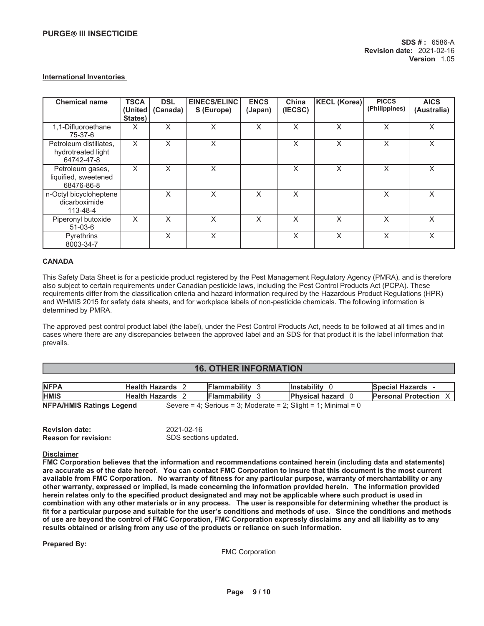### **International Inventories**

| <b>Chemical name</b>                                       | <b>TSCA</b><br>(United)<br>States) | <b>DSL</b><br>(Canada) | EINECS/ELINC<br>S (Europe) | <b>ENCS</b><br>(Japan) | China<br>(IECSC) | KECL (Korea) | <b>PICCS</b><br>(Philippines) | <b>AICS</b><br>(Australia) |
|------------------------------------------------------------|------------------------------------|------------------------|----------------------------|------------------------|------------------|--------------|-------------------------------|----------------------------|
| 1,1-Difluoroethane<br>75-37-6                              | X                                  | X                      | X                          | X                      | X                | X            | X                             | X                          |
| Petroleum distillates,<br>hydrotreated light<br>64742-47-8 | X                                  | X                      | X                          |                        | X                | X            | X                             | X                          |
| Petroleum gases,<br>liquified, sweetened<br>68476-86-8     | X                                  | X                      | X                          |                        | X                | X            | X                             | X                          |
| n-Octyl bicycloheptene<br>dicarboximide<br>113-48-4        |                                    | X                      | X                          | X                      | $\times$         |              | X                             | X                          |
| Piperonyl butoxide<br>$51-03-6$                            | X                                  | X                      | X                          | X                      | X                | X            | X                             | X                          |
| Pyrethrins<br>8003-34-7                                    |                                    | X                      | X                          |                        | X                | X            | X                             | X                          |

### **CANADA**

This Safety Data Sheet is for a pesticide product registered by the Pest Management Regulatory Agency (PMRA), and is therefore also subject to certain requirements under Canadian pesticide laws, including the Pest Control Products Act (PCPA). These requirements differ from the classification criteria and hazard information required by the Hazardous Product Regulations (HPR) and WHMIS 2015 for safety data sheets, and for workplace labels of non-pesticide chemicals. The following information is determined by PMRA.

The approved pest control product label (the label), under the Pest Control Products Act, needs to be followed at all times and in cases where there are any discrepancies between the approved label and an SDS for that product it is the label information that prevails.

# **16. OTHER INFORMATION**

| <b>NFPA</b>                     | Health Hazards 2        | <b>Flammability</b>                                            | <b>Instability</b>     | <b>Special Hazards</b>     |
|---------------------------------|-------------------------|----------------------------------------------------------------|------------------------|----------------------------|
| <b>HMIS</b>                     | <b>Health Hazards</b> 2 | <b>IFlammability</b>                                           | <b>Physical hazard</b> | <b>Personal Protection</b> |
| <b>NFPA/HMIS Ratings Legend</b> |                         | Severe = 4; Serious = 3; Moderate = 2; Slight = 1; Minimal = 0 |                        |                            |

| <b>Revision date:</b>       | 2021-02-16            |
|-----------------------------|-----------------------|
| <b>Reason for revision:</b> | SDS sections updated. |

### **Disclaimer**

**FMC Corporation believes that the information and recommendations contained herein (including data and statements) are accurate as of the date hereof. You can contact FMC Corporation to insure that this document is the most current available from FMC Corporation. No warranty of fitness for any particular purpose, warranty of merchantability or any other warranty, expressed or implied, is made concerning the information provided herein. The information provided herein relates only to the specified product designated and may not be applicable where such product is used in combination with any other materials or in any process. The user is responsible for determining whether the product is** fit for a particular purpose and suitable for the user's conditions and methods of use. Since the conditions and methods **of use are beyond the control of FMC Corporation, FMC Corporation expressly disclaims any and all liability as to any results obtained or arising from any use of the products or reliance on such information.**

**Prepared By:** 

FMC Corporation